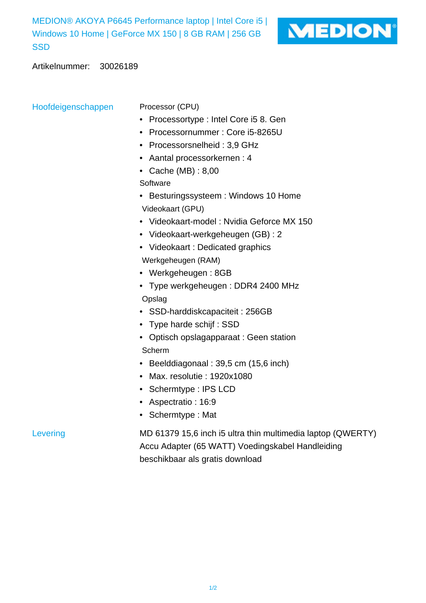MEDION® AKOYA P6645 Performance laptop | Intel Core i5 | Windows 10 Home | GeForce MX 150 | 8 GB RAM | 256 GB **SSD** 



Artikelnummer: 30026189

Hoofdeigenschappen Processor (CPU)

- Processortype : Intel Core i5 8. Gen
- Processornummer : Core i5-8265U
- Processorsnelheid : 3,9 GHz
- Aantal processorkernen : 4
- Cache (MB) : 8,00

**Software** 

- Besturingssysteem : Windows 10 Home Videokaart (GPU)
- Videokaart-model : Nvidia Geforce MX 150
- Videokaart-werkgeheugen (GB) : 2
- Videokaart : Dedicated graphics Werkgeheugen (RAM)
- Werkgeheugen : 8GB
- Type werkgeheugen : DDR4 2400 MHz Opslag
- SSD-harddiskcapaciteit : 256GB
- Type harde schijf : SSD
- Optisch opslagapparaat : Geen station Scherm
- Beelddiagonaal : 39,5 cm (15,6 inch)
- Max. resolutie : 1920x1080
- Schermtype : IPS LCD
- Aspectratio : 16:9
- Schermtype : Mat

Levering MD 61379 15,6 inch i5 ultra thin multimedia laptop (QWERTY) Accu Adapter (65 WATT) Voedingskabel Handleiding beschikbaar als gratis download